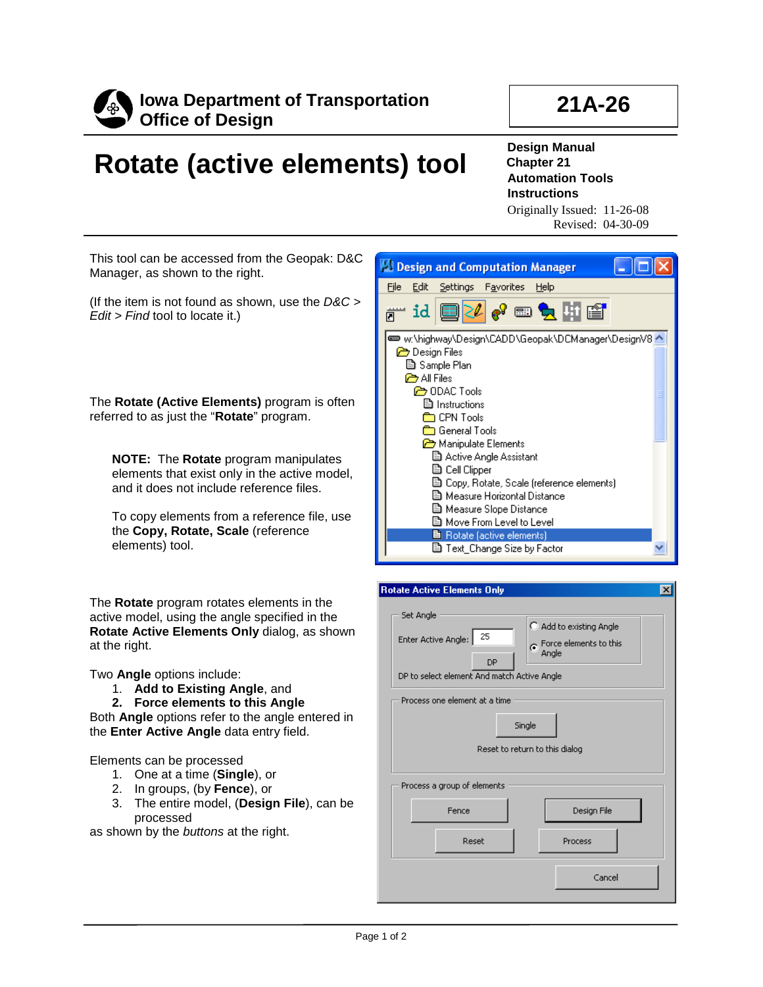

# **21A-26**

# **Rotate (active elements) tool**

**Design Manual Chapter 21 Automation Tools Instructions** Originally Issued: 11-26-08

Revised: 04-30-09

This tool can be accessed from the Geopak: D&C Manager, as shown to the right.

(If the item is not found as shown, use the *D&C > Edit > Find* tool to locate it.)

The **Rotate (Active Elements)** program is often referred to as just the "**Rotate**" program.

**NOTE:** The **Rotate** program manipulates elements that exist only in the active model, and it does not include reference files.

To copy elements from a reference file, use the **Copy, Rotate, Scale** (reference elements) tool.

The **Rotate** program rotates elements in the active model, using the angle specified in the **Rotate Active Elements Only** dialog, as shown at the right.

Two **Angle** options include:

- 1. **Add to Existing Angle**, and
- **2. Force elements to this Angle**

Both **Angle** options refer to the angle entered in the **Enter Active Angle** data entry field.

Elements can be processed

- 1. One at a time (**Single**), or
- 2. In groups, (by **Fence**), or
- 3. The entire model, (**Design File**), can be processed

as shown by the *buttons* at the right.



|           | <b>Rotate Active Elements Only</b>                                                                                     |        |                                                              | $\vert x \vert$ |
|-----------|------------------------------------------------------------------------------------------------------------------------|--------|--------------------------------------------------------------|-----------------|
| Set Angle | 25<br>Enter Active Angle:<br><b>DP</b><br>DP to select element And match Active Angle<br>Process one element at a time |        | C Add to existing Angle<br>G Force elements to this<br>Angle |                 |
|           |                                                                                                                        | Single |                                                              |                 |
|           | Reset to return to this dialog                                                                                         |        |                                                              |                 |
|           | Process a group of elements                                                                                            |        |                                                              |                 |
|           | Fence                                                                                                                  |        | Design File                                                  |                 |
|           | Reset                                                                                                                  |        | Process                                                      |                 |
|           |                                                                                                                        |        | Cancel                                                       |                 |